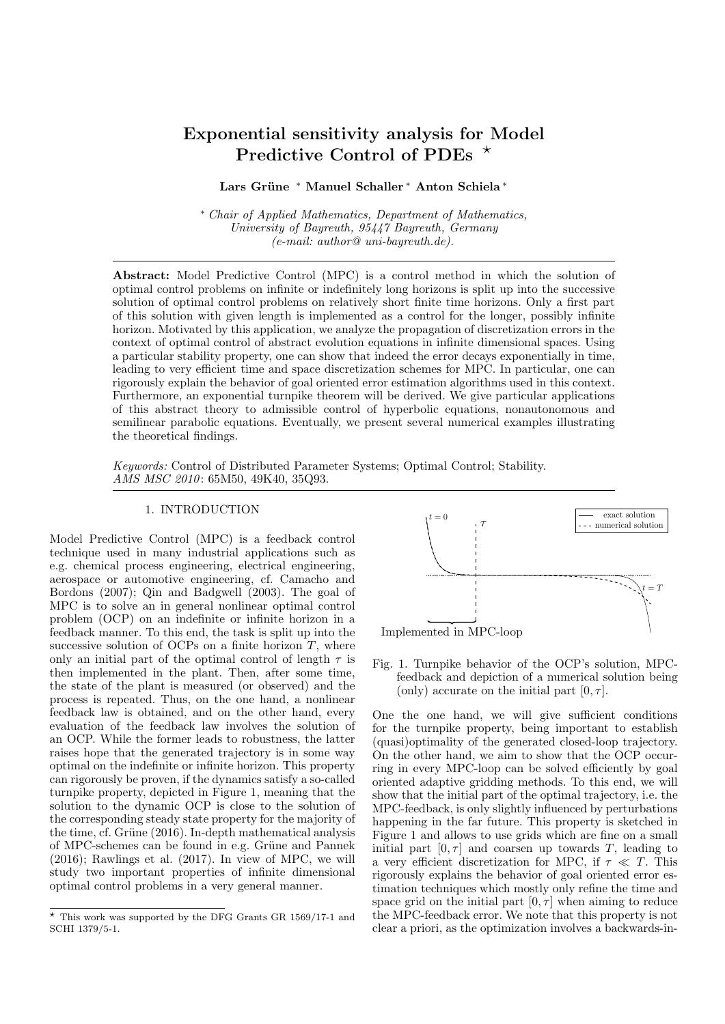# Exponential sensitivity analysis for Model Predictive Control of PDEs  $*$

Lars Grüne \* Manuel Schaller \* Anton Schiela \*

<sup>∗</sup> Chair of Applied Mathematics, Department of Mathematics, University of Bayreuth, 95447 Bayreuth, Germany  $(e-mail: author@uni-bayreuth.de).$ 

Abstract: Model Predictive Control (MPC) is a control method in which the solution of optimal control problems on infinite or indefinitely long horizons is split up into the successive solution of optimal control problems on relatively short finite time horizons. Only a first part of this solution with given length is implemented as a control for the longer, possibly infinite horizon. Motivated by this application, we analyze the propagation of discretization errors in the context of optimal control of abstract evolution equations in infinite dimensional spaces. Using a particular stability property, one can show that indeed the error decays exponentially in time, leading to very efficient time and space discretization schemes for MPC. In particular, one can rigorously explain the behavior of goal oriented error estimation algorithms used in this context. Furthermore, an exponential turnpike theorem will be derived. We give particular applications of this abstract theory to admissible control of hyperbolic equations, nonautonomous and semilinear parabolic equations. Eventually, we present several numerical examples illustrating the theoretical findings.

Keywords: Control of Distributed Parameter Systems; Optimal Control; Stability. AMS MSC 2010: 65M50, 49K40, 35Q93.

#### 1. INTRODUCTION

Model Predictive Control (MPC) is a feedback control technique used in many industrial applications such as e.g. chemical process engineering, electrical engineering, aerospace or automotive engineering, cf. Camacho and Bordons (2007); Qin and Badgwell (2003). The goal of MPC is to solve an in general nonlinear optimal control problem (OCP) on an indefinite or infinite horizon in a feedback manner. To this end, the task is split up into the successive solution of OCPs on a finite horizon  $T$ , where only an initial part of the optimal control of length  $\tau$  is then implemented in the plant. Then, after some time, the state of the plant is measured (or observed) and the process is repeated. Thus, on the one hand, a nonlinear feedback law is obtained, and on the other hand, every evaluation of the feedback law involves the solution of an OCP. While the former leads to robustness, the latter raises hope that the generated trajectory is in some way optimal on the indefinite or infinite horizon. This property can rigorously be proven, if the dynamics satisfy a so-called turnpike property, depicted in Figure 1, meaning that the solution to the dynamic OCP is close to the solution of the corresponding steady state property for the majority of the time, cf. Grüne  $(2016)$ . In-depth mathematical analysis of MPC-schemes can be found in e.g. Grüne and Pannek (2016); Rawlings et al. (2017). In view of MPC, we will study two important properties of infinite dimensional optimal control problems in a very general manner.



Fig. 1. Turnpike behavior of the OCP's solution, MPCfeedback and depiction of a numerical solution being (only) accurate on the initial part  $[0, \tau]$ .

One the one hand, we will give sufficient conditions for the turnpike property, being important to establish (quasi)optimality of the generated closed-loop trajectory. On the other hand, we aim to show that the OCP occurring in every MPC-loop can be solved efficiently by goal oriented adaptive gridding methods. To this end, we will show that the initial part of the optimal trajectory, i.e. the MPC-feedback, is only slightly influenced by perturbations happening in the far future. This property is sketched in Figure 1 and allows to use grids which are fine on a small initial part  $[0, \tau]$  and coarsen up towards T, leading to a very efficient discretization for MPC, if  $\tau \ll T$ . This rigorously explains the behavior of goal oriented error estimation techniques which mostly only refine the time and space grid on the initial part  $[0, \tau]$  when aiming to reduce the MPC-feedback error. We note that this property is not clear a priori, as the optimization involves a backwards-in-

 $*$  This work was supported by the DFG Grants GR 1569/17-1 and SCHI 1379/5-1.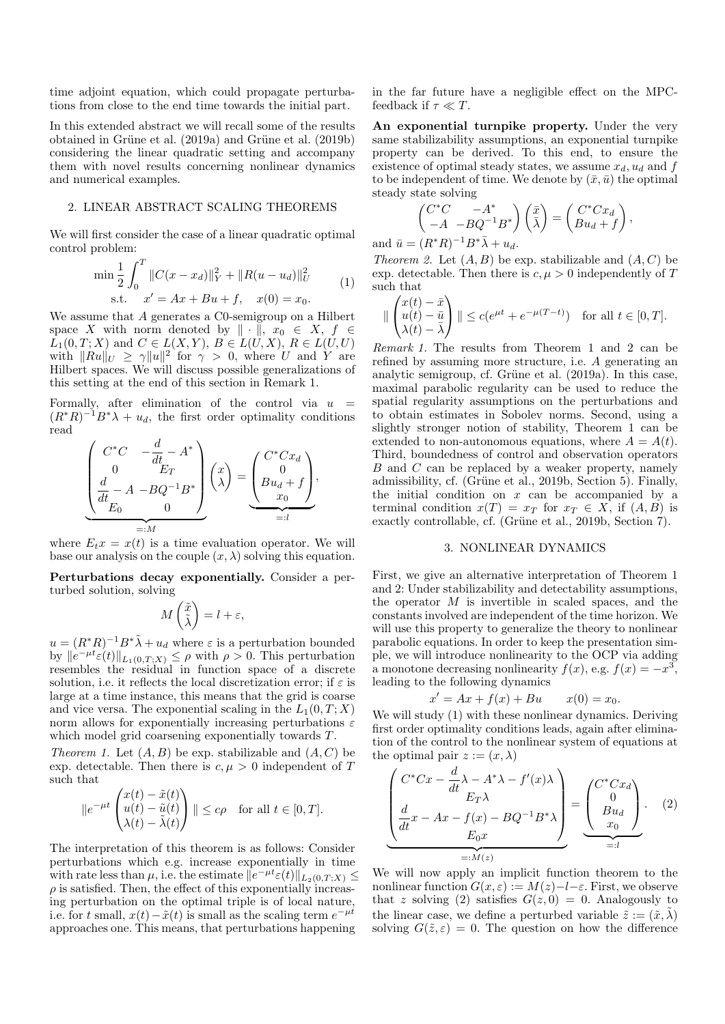time adjoint equation, which could propagate perturbations from close to the end time towards the initial part.

In this extended abstract we will recall some of the results obtained in Grüne et al.  $(2019a)$  and Grüne et al.  $(2019b)$ considering the linear quadratic setting and accompany them with novel results concerning nonlinear dynamics and numerical examples.

## 2. LINEAR ABSTRACT SCALING THEOREMS

We will first consider the case of a linear quadratic optimal control problem:

$$
\min \frac{1}{2} \int_0^T \|C(x - x_d)\|_Y^2 + \|R(u - u_d)\|_U^2
$$
  
s.t.  $x' = Ax + Bu + f$ ,  $x(0) = x_0$ . (1)

We assume that A generates a C0-semigroup on a Hilbert space X with norm denoted by  $\|\cdot\|$ ,  $x_0 \in X$ ,  $f \in$  $\overline{L}_1(0,T;X)$  and  $C \in L(X,Y)$ ,  $B \in L(\overline{U},X)$ ,  $R \in L(\overline{U},U)$ with  $||Ru||_U \geq \gamma ||u||^2$  for  $\gamma > 0$ , where U and Y are Hilbert spaces. We will discuss possible generalizations of this setting at the end of this section in Remark 1.

Formally, after elimination of the control via  $u =$  $(R^*R)^{-1}B^*\lambda + u_d$ , the first order optimality conditions read

$$
\underbrace{\begin{pmatrix} C^*C & -\frac{d}{dt} - A^* \\ 0 & E_T \\ \frac{d}{dt} - A & -BQ^{-1}B^* \\ E_0 & 0 \end{pmatrix}}_{=:M} \begin{pmatrix} x \\ \lambda \end{pmatrix} = \underbrace{\begin{pmatrix} C^*Cx_d \\ 0 \\ Bu_d + f \\ x_0 \end{pmatrix}}_{=:I},
$$

where  $E_t x = x(t)$  is a time evaluation operator. We will base our analysis on the couple  $(x, \lambda)$  solving this equation.

Perturbations decay exponentially. Consider a perturbed solution, solving

$$
M\begin{pmatrix} \tilde{x} \\ \tilde{\lambda} \end{pmatrix} = l + \varepsilon,
$$

 $u = (R^*R)^{-1}B^*\tilde{\lambda} + u_d$  where  $\varepsilon$  is a perturbation bounded by  $||e^{-\mu t}\varepsilon(t)||_{L_1(0,T;X)} \leq \rho$  with  $\rho > 0$ . This perturbation resembles the residual in function space of a discrete solution, i.e. it reflects the local discretization error; if  $\varepsilon$  is large at a time instance, this means that the grid is coarse and vice versa. The exponential scaling in the  $L_1(0,T;X)$ norm allows for exponentially increasing perturbations  $\varepsilon$ which model grid coarsening exponentially towards T.

Theorem 1. Let  $(A, B)$  be exp. stabilizable and  $(A, C)$  be exp. detectable. Then there is  $c, \mu > 0$  independent of T such that

$$
||e^{-\mu t}\begin{pmatrix} x(t) - \tilde{x}(t) \\ u(t) - \tilde{u}(t) \\ \lambda(t) - \tilde{\lambda}(t) \end{pmatrix}|| \le c\rho \quad \text{for all } t \in [0, T].
$$

The interpretation of this theorem is as follows: Consider perturbations which e.g. increase exponentially in time with rate less than  $\mu$ , i.e. the estimate  $||e^{-\mu t}\varepsilon(t)||_{L_2(0,T;X)} \le$  $\rho$  is satisfied. Then, the effect of this exponentially increasing perturbation on the optimal triple is of local nature, i.e. for t small,  $x(t) - \tilde{x}(t)$  is small as the scaling term  $e^{-\mu t}$ approaches one. This means, that perturbations happening

in the far future have a negligible effect on the MPCfeedback if  $\tau \ll T$ .

An exponential turnpike property. Under the very same stabilizability assumptions, an exponential turnpike property can be derived. To this end, to ensure the existence of optimal steady states, we assume  $x_d$ ,  $u_d$  and f to be independent of time. We denote by  $(\bar{x}, \bar{u})$  the optimal steady state solving

$$
\begin{pmatrix} C^*C & -A^* \\ -A & -BQ^{-1}B^* \end{pmatrix} \begin{pmatrix} \bar{x} \\ \bar{\lambda} \end{pmatrix} = \begin{pmatrix} C^*Cx_d \\ Bu_d + f \end{pmatrix},
$$

and  $\bar{u} = (R^*R)^{-1}B^*\bar{\lambda} + u_d.$ 

Theorem 2. Let  $(A, B)$  be exp. stabilizable and  $(A, C)$  be exp. detectable. Then there is  $c, \mu > 0$  independently of T such that

$$
\|\begin{pmatrix} x(t) - \bar{x} \\ u(t) - \bar{u} \\ \lambda(t) - \bar{\lambda} \end{pmatrix}\| \le c(e^{\mu t} + e^{-\mu(T-t)}) \quad \text{for all } t \in [0, T].
$$

Remark 1. The results from Theorem 1 and 2 can be refined by assuming more structure, i.e. A generating an analytic semigroup, cf. Grüne et al. (2019a). In this case, maximal parabolic regularity can be used to reduce the spatial regularity assumptions on the perturbations and to obtain estimates in Sobolev norms. Second, using a slightly stronger notion of stability, Theorem 1 can be extended to non-autonomous equations, where  $A = A(t)$ . Third, boundedness of control and observation operators B and C can be replaced by a weaker property, namely admissibility, cf. (Grüne et al., 2019b, Section 5). Finally, the initial condition on  $x$  can be accompanied by a terminal condition  $x(T) = x_T$  for  $x_T \in X$ , if  $(A, B)$  is exactly controllable, cf. (Grüne et al., 2019b, Section 7).

### 3. NONLINEAR DYNAMICS

First, we give an alternative interpretation of Theorem 1 and 2: Under stabilizability and detectability assumptions, the operator  $M$  is invertible in scaled spaces, and the constants involved are independent of the time horizon. We will use this property to generalize the theory to nonlinear parabolic equations. In order to keep the presentation simple, we will introduce nonlinearity to the OCP via adding a monotone decreasing nonlinearity  $f(x)$ , e.g.  $f(x) = -x^3$ , leading to the following dynamics

$$
x' = Ax + f(x) + Bu \qquad x(0) = x_0.
$$

We will study  $(1)$  with these nonlinear dynamics. Deriving first order optimality conditions leads, again after elimination of the control to the nonlinear system of equations at the optimal pair  $z := (x, \lambda)$ 

$$
\underbrace{\begin{pmatrix} C^*Cx - \frac{d}{dt}\lambda - A^*\lambda - f'(x)\lambda \\ E_T\lambda \\ \frac{d}{dt}x - Ax - f(x) - BQ^{-1}B^*\lambda \\ E_0x \\ \vdots \\ E_M(z) \end{pmatrix}}_{=:M(z)} = \underbrace{\begin{pmatrix} C^*Cx_d \\ 0 \\ Bu_d \\ x_0 \end{pmatrix}}_{=:l}.
$$
 (2)

We will now apply an implicit function theorem to the nonlinear function  $G(x, \varepsilon) := M(z) - l - \varepsilon$ . First, we observe that z solving (2) satisfies  $G(z, 0) = 0$ . Analogously to the linear case, we define a perturbed variable  $\tilde{z} := (\tilde{x}, \lambda)$ solving  $G(\tilde{z}, \varepsilon) = 0$ . The question on how the difference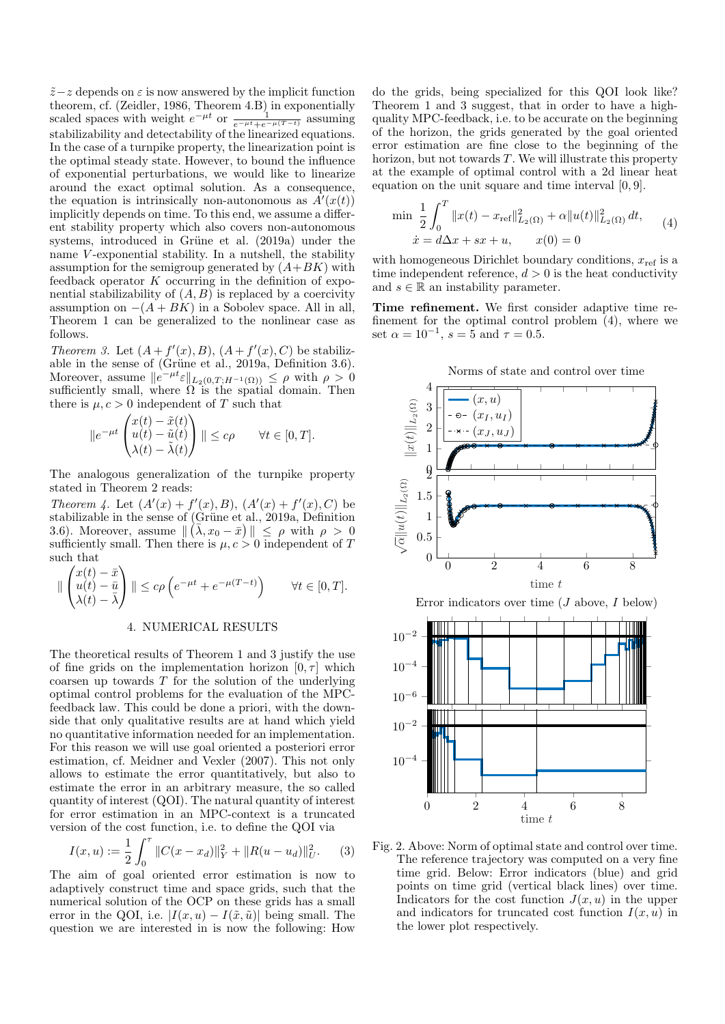$\tilde{z}-z$  depends on  $\varepsilon$  is now answered by the implicit function theorem, cf. (Zeidler, 1986, Theorem 4.B) in exponentially scaled spaces with weight  $e^{-\mu t}$  or  $\frac{1}{e^{-\mu t}+e^{-\mu(T-t)}}$  assuming stabilizability and detectability of the linearized equations. In the case of a turnpike property, the linearization point is the optimal steady state. However, to bound the influence of exponential perturbations, we would like to linearize around the exact optimal solution. As a consequence, the equation is intrinsically non-autonomous as  $\overline{A}'(x(t))$ implicitly depends on time. To this end, we assume a different stability property which also covers non-autonomous systems, introduced in Grüne et al. (2019a) under the name V-exponential stability. In a nutshell, the stability assumption for the semigroup generated by  $(A+BK)$  with feedback operator  $K$  occurring in the definition of exponential stabilizability of  $(A, B)$  is replaced by a coercivity assumption on  $-(A + BK)$  in a Sobolev space. All in all, Theorem 1 can be generalized to the nonlinear case as follows.

Theorem 3. Let  $(A + f'(x), B)$ ,  $(A + f'(x), C)$  be stabilizable in the sense of (Grüne et al.,  $2019a$ , Definition 3.6). Moreover, assume  $||e^{-\mu t} \varepsilon||_{L_2(0,T;H^{-1}(\Omega))} \leq \rho$  with  $\rho > 0$ sufficiently small, where  $\Omega$  is the spatial domain. Then there is  $\mu$ ,  $c > 0$  independent of T such that

$$
||e^{-\mu t}\begin{pmatrix} x(t) - \tilde{x}(t) \\ u(t) - \tilde{u}(t) \\ \lambda(t) - \tilde{\lambda}(t) \end{pmatrix}|| \leq c\rho \qquad \forall t \in [0, T].
$$

The analogous generalization of the turnpike property stated in Theorem 2 reads:

Theorem 4. Let  $(A'(x) + f'(x), B)$ ,  $(A'(x) + f'(x), C)$  be stabilizable in the sense of (Grüne et al., 2019a, Definition 3.6). Moreover, assume  $\| (\bar{\lambda}, x_0 - \bar{x}) \| \leq \rho$  with  $\rho > 0$ sufficiently small. Then there is  $\mu$ ,  $c > 0$  independent of T such that

$$
\|\begin{pmatrix} x(t) - \bar{x} \\ u(t) - \bar{u} \\ \lambda(t) - \bar{\lambda} \end{pmatrix}\| \le c\rho \left(e^{-\mu t} + e^{-\mu(T-t)}\right) \qquad \forall t \in [0, T].
$$

#### 4. NUMERICAL RESULTS

The theoretical results of Theorem 1 and 3 justify the use of fine grids on the implementation horizon  $[0, \tau]$  which coarsen up towards  $T$  for the solution of the underlying optimal control problems for the evaluation of the MPCfeedback law. This could be done a priori, with the downside that only qualitative results are at hand which yield no quantitative information needed for an implementation. For this reason we will use goal oriented a posteriori error estimation, cf. Meidner and Vexler (2007). This not only allows to estimate the error quantitatively, but also to estimate the error in an arbitrary measure, the so called quantity of interest (QOI). The natural quantity of interest for error estimation in an MPC-context is a truncated version of the cost function, i.e. to define the QOI via

$$
I(x, u) := \frac{1}{2} \int_0^{\tau} ||C(x - x_d)||_Y^2 + ||R(u - u_d)||_U^2.
$$
 (3)

The aim of goal oriented error estimation is now to adaptively construct time and space grids, such that the numerical solution of the OCP on these grids has a small error in the QOI, i.e.  $|I(x, u) - I(\tilde{x}, \tilde{u})|$  being small. The question we are interested in is now the following: How do the grids, being specialized for this QOI look like? Theorem 1 and 3 suggest, that in order to have a highquality MPC-feedback, i.e. to be accurate on the beginning of the horizon, the grids generated by the goal oriented error estimation are fine close to the beginning of the horizon, but not towards  $T$ . We will illustrate this property at the example of optimal control with a 2d linear heat equation on the unit square and time interval [0, 9].

$$
\min \frac{1}{2} \int_0^T \|x(t) - x_{\text{ref}}\|_{L_2(\Omega)}^2 + \alpha \|u(t)\|_{L_2(\Omega)}^2 dt, \qquad (4)
$$

$$
\dot{x} = d\Delta x + sx + u, \qquad x(0) = 0
$$

with homogeneous Dirichlet boundary conditions,  $x_{ref}$  is a time independent reference,  $d > 0$  is the heat conductivity and  $s \in \mathbb{R}$  an instability parameter.

Time refinement. We first consider adaptive time refinement for the optimal control problem (4), where we set  $\alpha = 10^{-1}$ ,  $s = 5$  and  $\tau = 0.5$ .



Fig. 2. Above: Norm of optimal state and control over time. The reference trajectory was computed on a very fine time grid. Below: Error indicators (blue) and grid points on time grid (vertical black lines) over time. Indicators for the cost function  $J(x, u)$  in the upper and indicators for truncated cost function  $I(x, u)$  in the lower plot respectively.